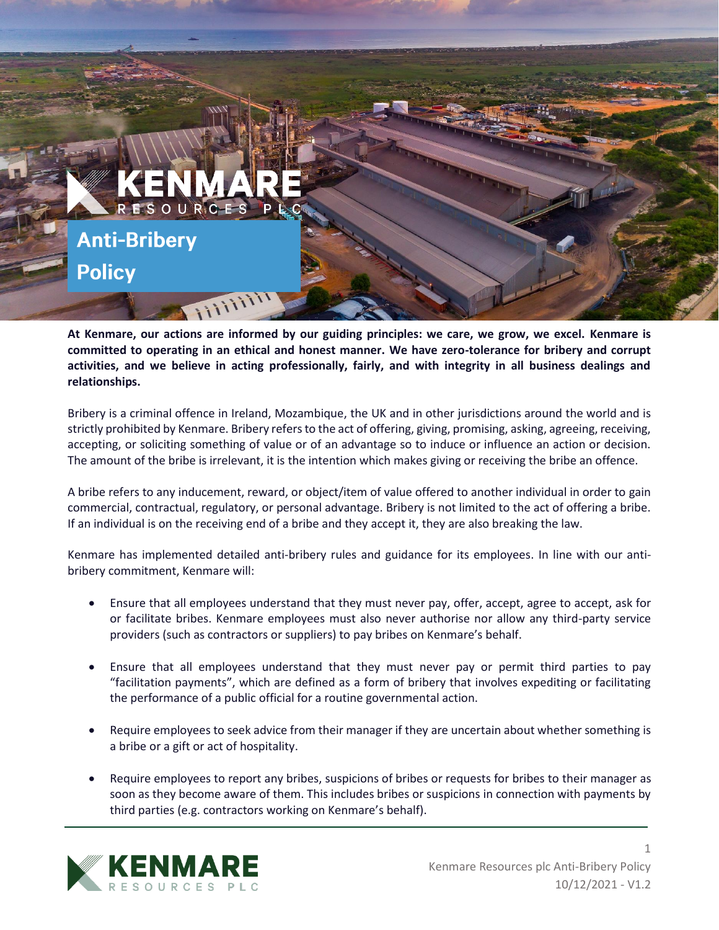

**At Kenmare, our actions are informed by our guiding principles: we care, we grow, we excel. Kenmare is committed to operating in an ethical and honest manner. We have zero-tolerance for bribery and corrupt activities, and we believe in acting professionally, fairly, and with integrity in all business dealings and relationships.**

Bribery is a criminal offence in Ireland, Mozambique, the UK and in other jurisdictions around the world and is strictly prohibited by Kenmare. Bribery refers to the act of offering, giving, promising, asking, agreeing, receiving, accepting, or soliciting something of value or of an advantage so to induce or influence an action or decision. The amount of the bribe is irrelevant, it is the intention which makes giving or receiving the bribe an offence.

A bribe refers to any inducement, reward, or object/item of value offered to another individual in order to gain commercial, contractual, regulatory, or personal advantage. Bribery is not limited to the act of offering a bribe. If an individual is on the receiving end of a bribe and they accept it, they are also breaking the law.

Kenmare has implemented detailed anti-bribery rules and guidance for its employees. In line with our antibribery commitment, Kenmare will:

- Ensure that all employees understand that they must never pay, offer, accept, agree to accept, ask for or facilitate bribes. Kenmare employees must also never authorise nor allow any third-party service providers (such as contractors or suppliers) to pay bribes on Kenmare's behalf.
- Ensure that all employees understand that they must never pay or permit third parties to pay "facilitation payments", which are defined as a form of bribery that involves expediting or facilitating the performance of a public official for a routine governmental action.
- Require employees to seek advice from their manager if they are uncertain about whether something is a bribe or a gift or act of hospitality.
- Require employees to report any bribes, suspicions of bribes or requests for bribes to their manager as soon as they become aware of them. This includes bribes or suspicions in connection with payments by third parties (e.g. contractors working on Kenmare's behalf).



1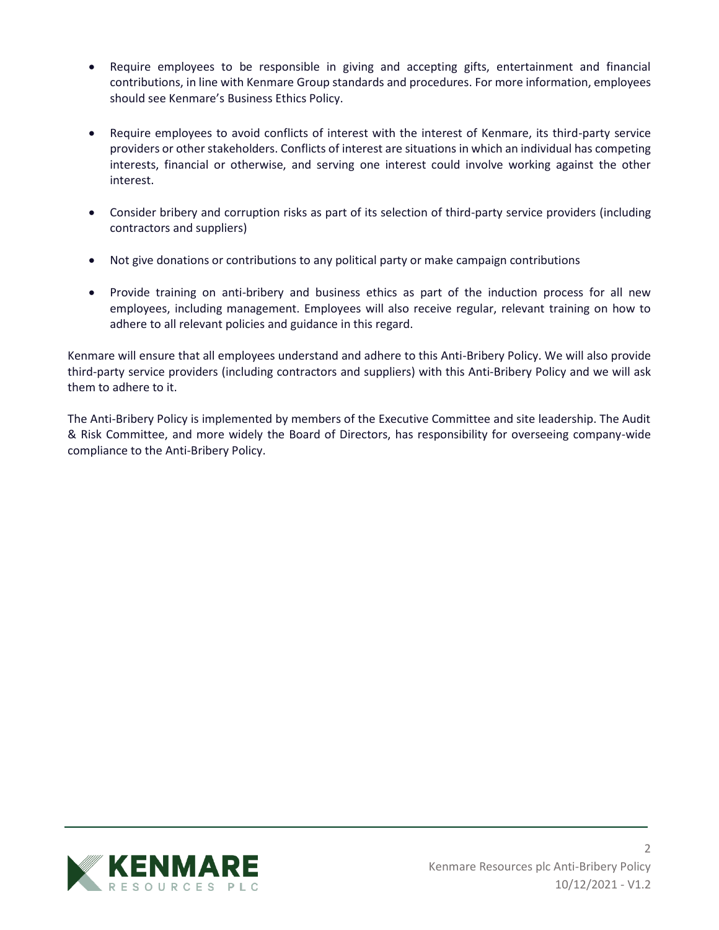- Require employees to be responsible in giving and accepting gifts, entertainment and financial contributions, in line with Kenmare Group standards and procedures. For more information, employees should see Kenmare's Business Ethics Policy.
- Require employees to avoid conflicts of interest with the interest of Kenmare, its third-party service providers or other stakeholders. Conflicts of interest are situations in which an individual has competing interests, financial or otherwise, and serving one interest could involve working against the other interest.
- Consider bribery and corruption risks as part of its selection of third-party service providers (including contractors and suppliers)
- Not give donations or contributions to any political party or make campaign contributions
- Provide training on anti-bribery and business ethics as part of the induction process for all new employees, including management. Employees will also receive regular, relevant training on how to adhere to all relevant policies and guidance in this regard.

Kenmare will ensure that all employees understand and adhere to this Anti-Bribery Policy. We will also provide third-party service providers (including contractors and suppliers) with this Anti-Bribery Policy and we will ask them to adhere to it.

The Anti-Bribery Policy is implemented by members of the Executive Committee and site leadership. The Audit & Risk Committee, and more widely the Board of Directors, has responsibility for overseeing company-wide compliance to the Anti-Bribery Policy.



2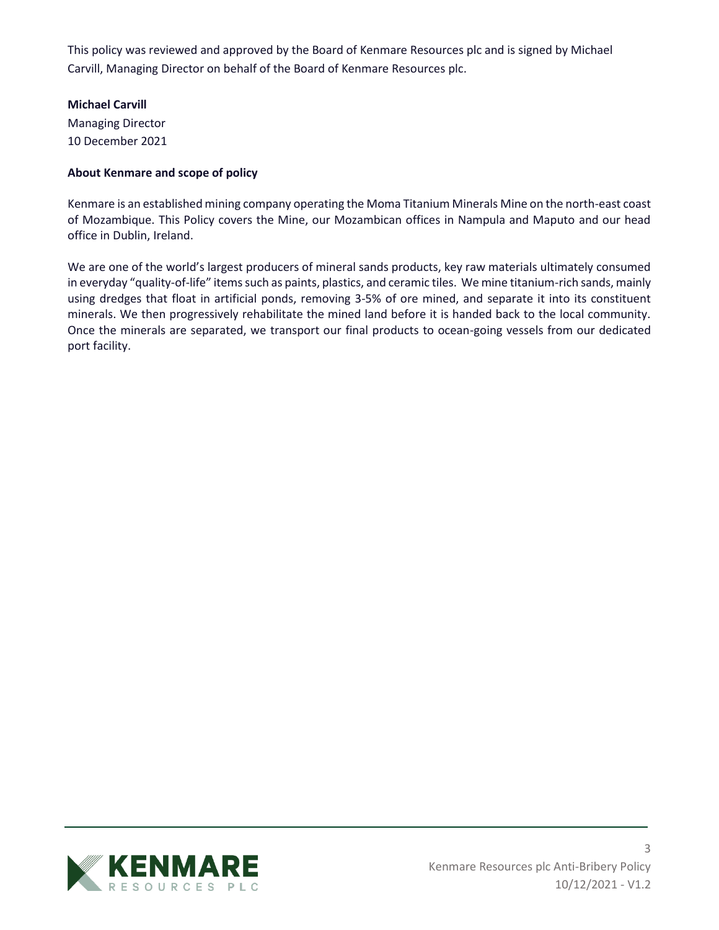This policy was reviewed and approved by the Board of Kenmare Resources plc and is signed by Michael Carvill, Managing Director on behalf of the Board of Kenmare Resources plc.

## **Michael Carvill**

Managing Director 10 December 2021

## **About Kenmare and scope of policy**

Kenmare is an established mining company operating the Moma Titanium Minerals Mine on the north-east coast of Mozambique. This Policy covers the Mine, our Mozambican offices in Nampula and Maputo and our head office in Dublin, Ireland.

We are one of the world's largest producers of mineral sands products, key raw materials ultimately consumed in everyday "quality-of-life" items such as paints, plastics, and ceramic tiles. We mine titanium-rich sands, mainly using dredges that float in artificial ponds, removing 3-5% of ore mined, and separate it into its constituent minerals. We then progressively rehabilitate the mined land before it is handed back to the local community. Once the minerals are separated, we transport our final products to ocean-going vessels from our dedicated port facility.